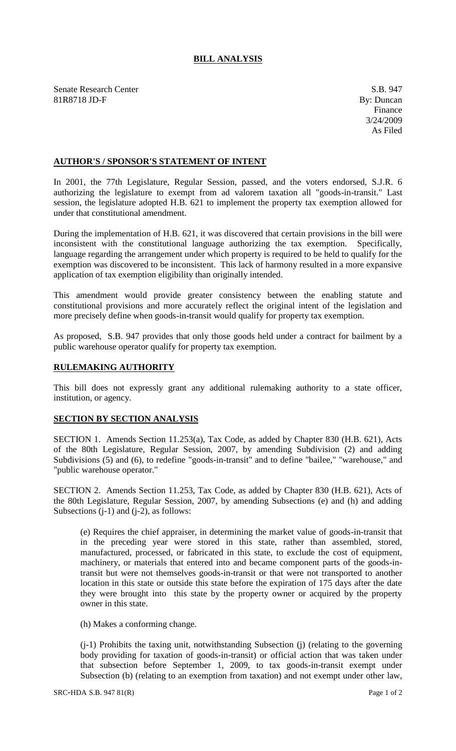## **BILL ANALYSIS**

Senate Research Center S.B. 947 81R8718 JD-F By: Duncan

## **AUTHOR'S / SPONSOR'S STATEMENT OF INTENT**

In 2001, the 77th Legislature, Regular Session, passed, and the voters endorsed, S.J.R. 6 authorizing the legislature to exempt from ad valorem taxation all "goods-in-transit." Last session, the legislature adopted H.B. 621 to implement the property tax exemption allowed for under that constitutional amendment.

During the implementation of H.B. 621, it was discovered that certain provisions in the bill were inconsistent with the constitutional language authorizing the tax exemption. Specifically, language regarding the arrangement under which property is required to be held to qualify for the exemption was discovered to be inconsistent. This lack of harmony resulted in a more expansive application of tax exemption eligibility than originally intended.

This amendment would provide greater consistency between the enabling statute and constitutional provisions and more accurately reflect the original intent of the legislation and more precisely define when goods-in-transit would qualify for property tax exemption.

As proposed, S.B. 947 provides that only those goods held under a contract for bailment by a public warehouse operator qualify for property tax exemption.

## **RULEMAKING AUTHORITY**

This bill does not expressly grant any additional rulemaking authority to a state officer, institution, or agency.

## **SECTION BY SECTION ANALYSIS**

SECTION 1. Amends Section 11.253(a), Tax Code, as added by Chapter 830 (H.B. 621), Acts of the 80th Legislature, Regular Session, 2007, by amending Subdivision (2) and adding Subdivisions (5) and (6), to redefine "goods-in-transit" and to define "bailee," "warehouse," and "public warehouse operator."

SECTION 2. Amends Section 11.253, Tax Code, as added by Chapter 830 (H.B. 621), Acts of the 80th Legislature, Regular Session, 2007, by amending Subsections (e) and (h) and adding Subsections  $(i-1)$  and  $(i-2)$ , as follows:

(e) Requires the chief appraiser, in determining the market value of goods-in-transit that in the preceding year were stored in this state, rather than assembled, stored, manufactured, processed, or fabricated in this state, to exclude the cost of equipment, machinery, or materials that entered into and became component parts of the goods-intransit but were not themselves goods-in-transit or that were not transported to another location in this state or outside this state before the expiration of 175 days after the date they were brought into this state by the property owner or acquired by the property owner in this state.

(h) Makes a conforming change.

(j-1) Prohibits the taxing unit, notwithstanding Subsection (j) (relating to the governing body providing for taxation of goods-in-transit) or official action that was taken under that subsection before September 1, 2009, to tax goods-in-transit exempt under Subsection (b) (relating to an exemption from taxation) and not exempt under other law,